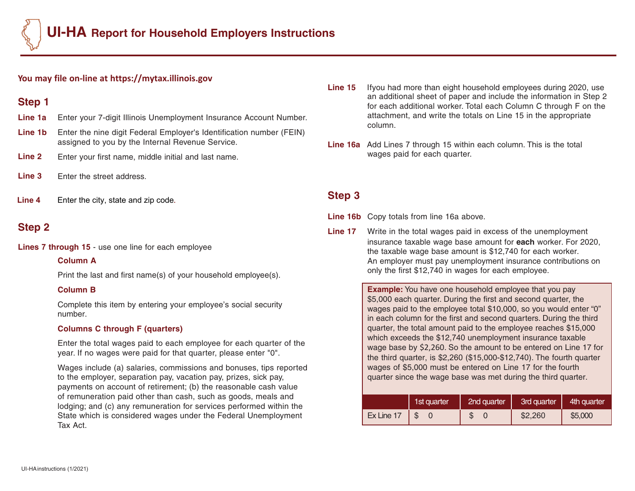### **You may file on-line at https://mytax.illinois.gov**

# **Step 1**

- **Line 1a** Enter your 7-digit Illinois Unemployment Insurance Account Number.
- **Line 1b** Enter the nine digit Federal Employer's Identification number (FEIN) assigned to you by the Internal Revenue Service.
- **Line 2** Enter your first name, middle initial and last name.
- **Line 3** Enter the street address.
- **Line 4** Enter the city, state and zip code**.**

# **Step 2**

**Lines 7 through 15** - use one line for each employee

### **Column A**

Print the last and first name(s) of your household employee(s).

### **Column B**

Complete this item by entering your employee's social security number.

## **Columns C through F (quarters)**

Enter the total wages paid to each employee for each quarter of the year. If no wages were paid for that quarter, please enter "0".

Wages include (a) salaries, commissions and bonuses, tips reported to the employer, separation pay, vacation pay, prizes, sick pay, payments on account of retirement; (b) the reasonable cash value of remuneration paid other than cash, such as goods, meals and lodging; and (c) any remuneration for services performed within the State which is considered wages under the Federal Unemployment Tax Act.

- **Line 15** Ifyou had more than eight household employees during 2020, use an additional sheet of paper and include the information in Step 2 for each additional worker. Total each Column C through F on the attachment, and write the totals on Line 15 in the appropriate column.
- **Line 16a** Add Lines 7 through 15 within each column. This is the total wages paid for each quarter.

# **Step 3**

- **Line 16b** Copy totals from line 16a above.
- **Line 17** Write in the total wages paid in excess of the unemployment insurance taxable wage base amount for **each** worker. For 2020, the taxable wage base amount is \$12,740 for each worker. An employer must pay unemployment insurance contributions on only the first \$12,740 in wages for each employee.

| <b>Example:</b> You have one household employee that you pay          |
|-----------------------------------------------------------------------|
| \$5,000 each quarter. During the first and second quarter, the        |
| wages paid to the employee total \$10,000, so you would enter "0"     |
| in each column for the first and second quarters. During the third    |
| quarter, the total amount paid to the employee reaches \$15,000       |
| which exceeds the \$12,740 unemployment insurance taxable             |
| wage base by \$2,260. So the amount to be entered on Line 17 for      |
| the third quarter, is \$2,260 (\$15,000-\$12,740). The fourth quarter |
| wages of \$5,000 must be entered on Line 17 for the fourth            |
| quarter since the wage base was met during the third quarter.         |
|                                                                       |

|            | 1st quarter | 2nd quarter | 3rd quarter | 4th quarter |  |  |
|------------|-------------|-------------|-------------|-------------|--|--|
| Ex Line 17 |             |             | \$2,260     | \$5,000     |  |  |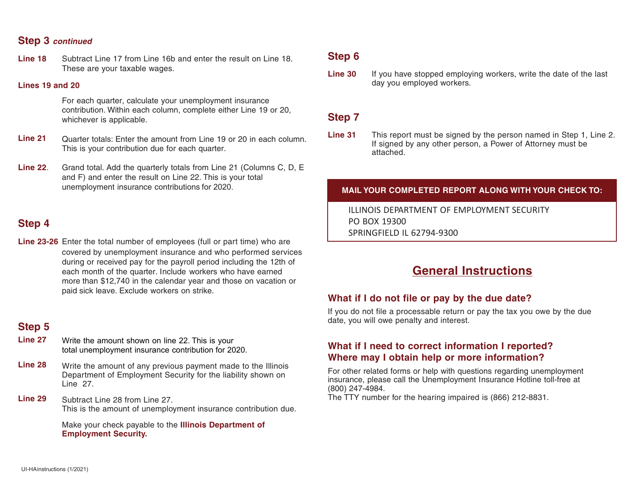## **Step 3** *continued*

**Line 18** Subtract Line 17 from Line 16b and enter the result on Line 18. These are your taxable wages.

#### **Lines 19 and 20**

For each quarter, calculate your unemployment insurance contribution. Within each column, complete either Line 19 or 20, whichever is applicable.

- **Line 21** Quarter totals: Enter the amount from Line 19 or 20 in each column. This is your contribution due for each quarter.
- **Line 22**. Grand total. Add the quarterly totals from Line 21 (Columns C, D, E and F) and enter the result on Line 22. This is your total unemployment insurance contributions for 2020.

## **Step 4**

**Line 23-26** Enter the total number of employees (full or part time) who are covered by unemployment insurance and who performed services during or received pay for the payroll period including the 12th of each month of the quarter. Include workers who have earned more than \$12,740 in the calendar year and those on vacation or paid sick leave. Exclude workers on strike.

# **Step 5**

- **Line 27** Write the amount shown on line 22. This is your total unemployment insurance contribution for 2020.
- **Line 28** Write the amount of any previous payment made to the Illinois Department of Employment Security for the liability shown on Line 27.
- **Line 29** Subtract Line 28 from Line 27. This is the amount of unemployment insurance contribution due.

Make your check payable to the **Illinois Department of Employment Security.**

## **Step 6**

**Line 30** If you have stopped employing workers, write the date of the last day you employed workers.

## **Step 7**

**Line 31** This report must be signed by the person named in Step 1, Line 2. If signed by any other person, a Power of Attorney must be attached.

### **MAIL YOUR COMPLETED REPORT ALONG WITH YOUR CHECK TO:**

ILLINOIS DEPARTMENT OF EMPLOYMENT SECURITY PO BOX 19300 SPRINGFIELD IL 62794-9300

# **General Instructions**

### **What if I do not file or pay by the due date?**

If you do not file a processable return or pay the tax you owe by the due date, you will owe penalty and interest.

## **What if I need to correct information I reported? Where may I obtain help or more information?**

For other related forms or help with questions regarding unemployment insurance, please call the Unemployment Insurance Hotline toll-free at (800) 247-4984.

The TTY number for the hearing impaired is (866) 212-8831.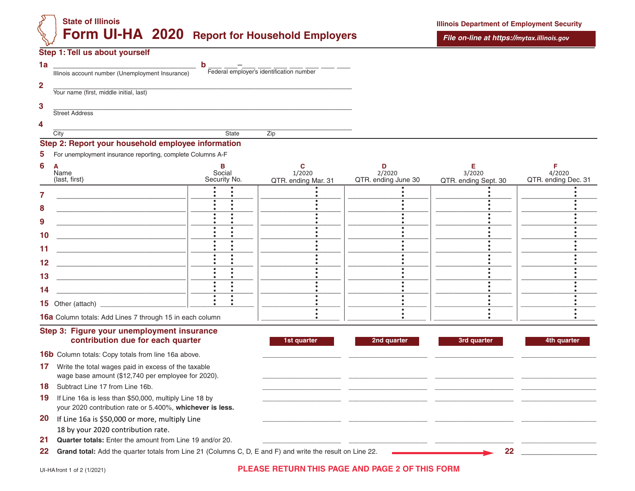# **State of Illinois Form UI-HA 2020 Report for Household Employers**

#### **Step 1: Tell us about yourself**

|                                                  | h                                        |  |
|--------------------------------------------------|------------------------------------------|--|
| Illinois account number (Unemployment Insurance) | Federal employer's identification number |  |
|                                                  |                                          |  |
| Your name (first, middle initial, last)          |                                          |  |
|                                                  |                                          |  |
| <b>Street Address</b>                            |                                          |  |
|                                                  |                                          |  |
| City                                             | Zip<br><b>State</b>                      |  |
|                                                  |                                          |  |

## **Step 2: Report your household employee information**

| 5                                                                        | For unemployment insurance reporting, complete Columns A-F |                        |                               |                               |                                |                               |
|--------------------------------------------------------------------------|------------------------------------------------------------|------------------------|-------------------------------|-------------------------------|--------------------------------|-------------------------------|
| 6<br>A<br>Name<br>(last, first)                                          |                                                            | Social<br>Security No. | 1/2020<br>QTR. ending Mar. 31 | 2/2020<br>QTR. ending June 30 | 3/2020<br>QTR. ending Sept. 30 | 4/2020<br>QTR. ending Dec. 31 |
| 8<br>9<br>10<br>11<br>12 <sub>2</sub><br>13<br>14<br>15 Other (attach) _ |                                                            |                        |                               |                               |                                |                               |
|                                                                          | 16a Column totals: Add Lines 7 through 15 in each column   |                        |                               |                               |                                |                               |

#### **Step 3: Figure your unemployment insurance contribution due for each quarter 1st quarter 1st quarter 2nd quarter 1st and quarter 3rd quarter 4th quarter**

16b Column totals: Copy totals from line 16a above.

**17** Write the total wages paid in excess of the taxable wage base amount (\$12,740 per employee for 2020).

18 Subtract Line 17 from Line 16b.

- **19** If Line 16a is less than \$50,000, multiply Line 18 by your 2020 contribution rate or 5.400%, **whichever is less.**
- **20** If Line 16a is \$50,000 or more, multiply Line 18 by your 2020 contribution rate.
- **21 Quarter totals:** Enter the amount from Line 19 and/or 20.

**22 Grand total:** Add the quarter totals from Line 21 (Columns C, D, E and F) and write the result on Line 22. **22 \_\_\_\_\_\_\_\_\_\_\_\_\_\_\_\_\_**

### UI-HAfront 1 of 2 (1/2021) **PLEASE RETURN THIS PAGE AND PAGE 2 OF THIS FORM**

\_\_\_\_\_\_\_\_\_\_\_\_\_\_\_\_\_\_\_\_\_\_ \_\_\_\_\_\_\_\_\_\_\_\_\_\_\_\_\_\_\_\_\_\_ \_\_\_\_\_\_\_\_\_\_\_\_\_\_\_\_\_\_\_\_\_\_ \_\_\_\_\_\_\_\_\_\_\_\_\_\_\_\_\_\_\_\_\_ \_\_\_\_\_\_\_\_\_\_\_\_\_\_\_\_\_\_\_\_\_\_ \_\_\_\_\_\_\_\_\_\_\_\_\_\_\_\_\_\_\_\_\_\_ \_\_\_\_\_\_\_\_\_\_\_\_\_\_\_\_\_\_\_\_\_\_ \_\_\_\_\_\_\_\_\_\_\_\_\_\_\_\_\_\_\_\_\_ **\_\_\_\_\_\_\_\_\_\_\_\_\_\_\_\_\_\_\_\_\_\_ \_\_\_\_\_\_\_\_\_\_\_\_\_\_\_\_\_\_\_\_\_\_ \_\_\_\_\_\_\_\_\_\_\_\_\_\_\_\_\_\_\_\_\_\_ \_\_\_\_\_\_\_\_\_\_\_\_\_\_\_\_\_\_\_\_\_**